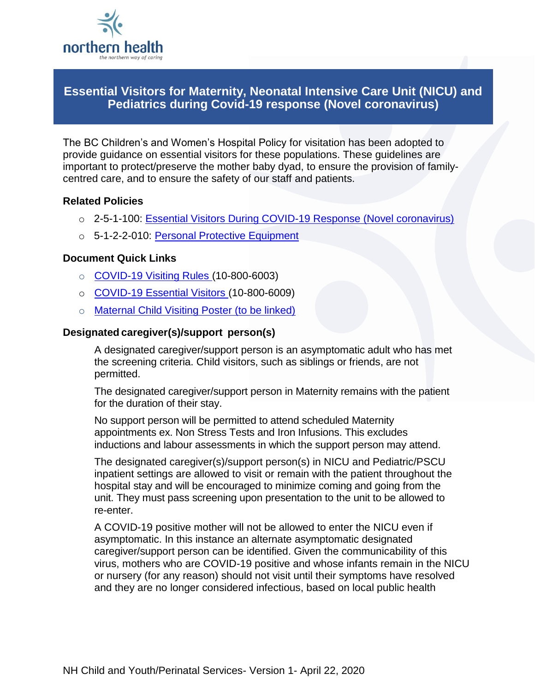

## **Essential Visitors for Maternity, Neonatal Intensive Care Unit (NICU) and Pediatrics during Covid-19 response (Novel coronavirus)**

The BC Children's and Women's Hospital Policy for visitation has been adopted to provide guidance on essential visitors for these populations. These guidelines are important to protect/preserve the mother baby dyad, to ensure the provision of familycentred care, and to ensure the safety of our staff and patients.

### **Related Policies**

- o 2-5-1-100: [Essential Visitors During COVID-19 Response \(Novel coronavirus\)](https://ournh.northernhealth.ca/PoliciesProcedures/DST%20Published%20Policies/2-5-1-100.pdf)
- o 5-1-2-2-010: [Personal Protective Equipment](https://ournh.northernhealth.ca/PoliciesProcedures/DST%20Published%20Policies/5-1-2-2-010.pdf)

### **Document Quick Links**

- $\circ$  [COVID-19 Visiting Rules](http://docushare.northernhealth.ca/docushare/dsweb/Get/Document-344864/10-800-6003%20Visiting%20Rulers%20(COVID-19)%20Information%20Sheet%208.5x11.pdf) (10-800-6003)
- o [COVID-19 Essential Visitors \(10-800-6009\)](http://docushare.northernhealth.ca/docushare/dsweb/Get/Document-345524/10-800-6009%20Essential%20Visitor%20(COVID-19)%20Poster%208.5x11.pdf)
- o Maternal Child Visiting Poster (to be linked)

### **Designated caregiver(s)/support person(s)**

A designated caregiver/support person is an asymptomatic adult who has met the screening criteria. Child visitors, such as siblings or friends, are not permitted.

The designated caregiver/support person in Maternity remains with the patient for the duration of their stay.

No support person will be permitted to attend scheduled Maternity appointments ex. Non Stress Tests and Iron Infusions. This excludes inductions and labour assessments in which the support person may attend.

The designated caregiver(s)/support person(s) in NICU and Pediatric/PSCU inpatient settings are allowed to visit or remain with the patient throughout the hospital stay and will be encouraged to minimize coming and going from the unit. They must pass screening upon presentation to the unit to be allowed to re-enter.

A COVID-19 positive mother will not be allowed to enter the NICU even if asymptomatic. In this instance an alternate asymptomatic designated caregiver/support person can be identified. Given the communicability of this virus, mothers who are COVID-19 positive and whose infants remain in the NICU or nursery (for any reason) should not visit until their symptoms have resolved and they are no longer considered infectious, based on local public health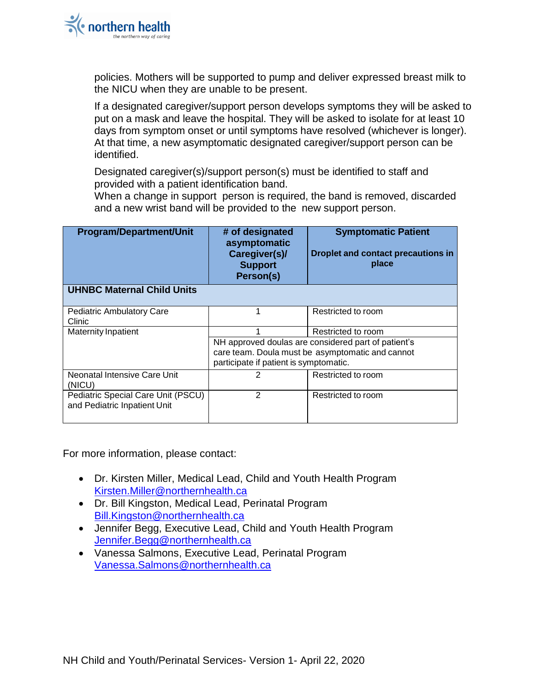policies. Mothers will be supported to pump and deliver expressed breast milk to the NICU when they are unable to be present.

If a designated caregiver/support person develops symptoms they will be asked to put on a mask and leave the hospital. They will be asked to isolate for at least 10 days from symptom onset or until symptoms have resolved (whichever is longer). At that time, a new asymptomatic designated caregiver/support person can be identified.

Designated caregiver(s)/support person(s) must be identified to staff and provided with a patient identification band.

When a change in support person is required, the band is removed, discarded and a new wrist band will be provided to the new support person.

| <b>Program/Department/Unit</b>                                     | # of designated<br>asymptomatic<br>Caregiver(s)/<br><b>Support</b><br>Person(s)                                                                   | <b>Symptomatic Patient</b><br><b>Droplet and contact precautions in</b><br>place |
|--------------------------------------------------------------------|---------------------------------------------------------------------------------------------------------------------------------------------------|----------------------------------------------------------------------------------|
| <b>UHNBC Maternal Child Units</b>                                  |                                                                                                                                                   |                                                                                  |
| <b>Pediatric Ambulatory Care</b><br>Clinic                         |                                                                                                                                                   | Restricted to room                                                               |
| <b>Maternity Inpatient</b>                                         |                                                                                                                                                   | Restricted to room                                                               |
|                                                                    | NH approved doulas are considered part of patient's<br>care team. Doula must be asymptomatic and cannot<br>participate if patient is symptomatic. |                                                                                  |
| Neonatal Intensive Care Unit<br>(NICU)                             |                                                                                                                                                   | Restricted to room                                                               |
| Pediatric Special Care Unit (PSCU)<br>and Pediatric Inpatient Unit | 2                                                                                                                                                 | Restricted to room                                                               |

For more information, please contact:

- Dr. Kirsten Miller, Medical Lead, Child and Youth Health Program [Kirsten.Miller@northernhealth.ca](mailto:Kirsten.Miller@northernhealth.ca)
- Dr. Bill Kingston, Medical Lead, Perinatal Program [Bill.Kingston@northernhealth.ca](mailto:Bill.Kingston@northernhealth.ca)
- Jennifer Begg, Executive Lead, Child and Youth Health Program [Jennifer.Begg@northernhealth.ca](mailto:Jennifer.Begg@northernhealth.ca)
- Vanessa Salmons, Executive Lead, Perinatal Program [Vanessa.Salmons@northernhealth.ca](mailto:Vanessa.Salmons@northernhealth.ca)